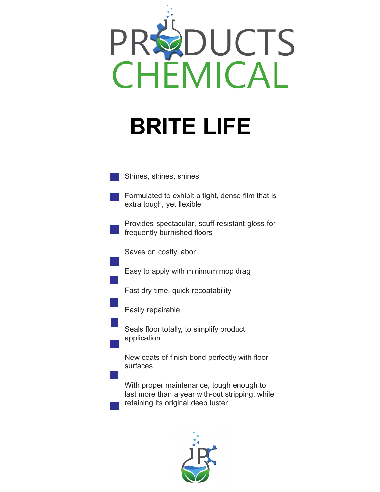



retaining its original deep luster